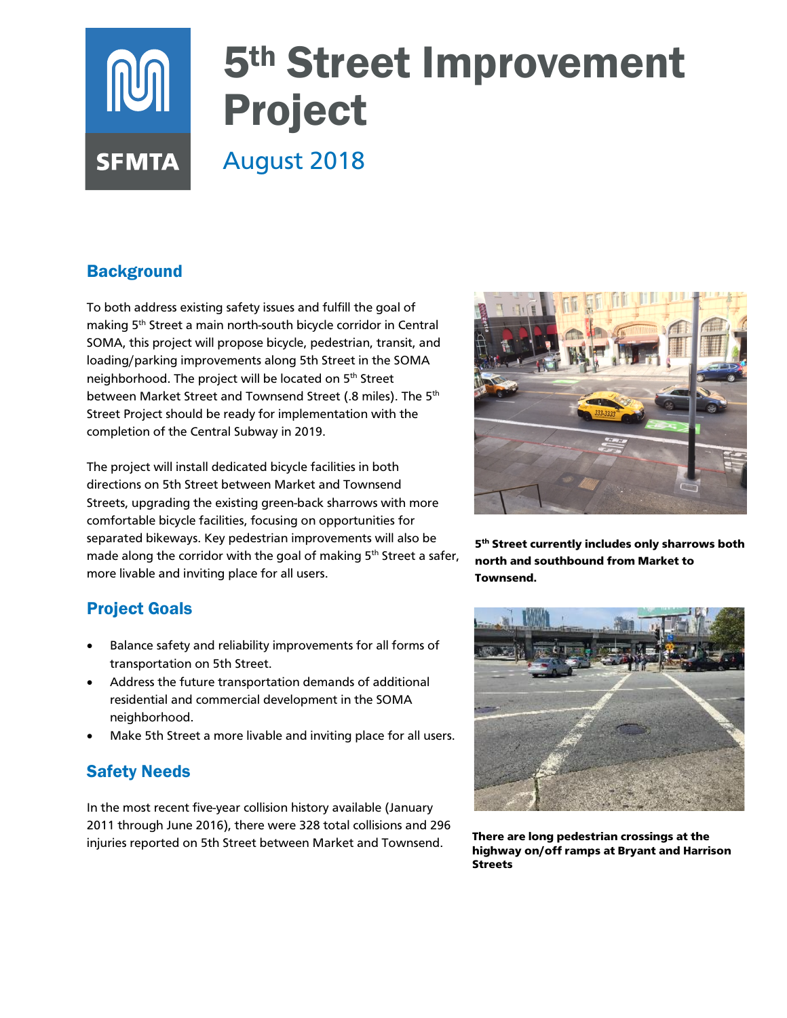# 5th Street Improvement **NUT** Project August 2018 **SFMTA**

# **Background**

To both address existing safety issues and fulfill the goal of making 5<sup>th</sup> Street a main north-south bicycle corridor in Central SOMA, this project will propose bicycle, pedestrian, transit, and loading/parking improvements along 5th Street in the SOMA neighborhood. The project will be located on 5th Street between Market Street and Townsend Street (.8 miles). The 5<sup>th</sup> Street Project should be ready for implementation with the completion of the Central Subway in 2019.

The project will install dedicated bicycle facilities in both directions on 5th Street between Market and Townsend Streets, upgrading the existing green-back sharrows with more comfortable bicycle facilities, focusing on opportunities for separated bikeways. Key pedestrian improvements will also be made along the corridor with the goal of making  $5<sup>th</sup>$  Street a safer, more livable and inviting place for all users.

## Project Goals

- Balance safety and reliability improvements for all forms of transportation on 5th Street.
- Address the future transportation demands of additional residential and commercial development in the SOMA neighborhood.
- Make 5th Street a more livable and inviting place for all users.

### Safety Needs

In the most recent five-year collision history available (January 2011 through June 2016), there were 328 total collisions and 296 injuries reported on 5th Street between Market and Townsend.



5<sup>th</sup> Street currently includes only sharrows both north and southbound from Market to Townsend.



There are long pedestrian crossings at the highway on/off ramps at Bryant and Harrison Streets